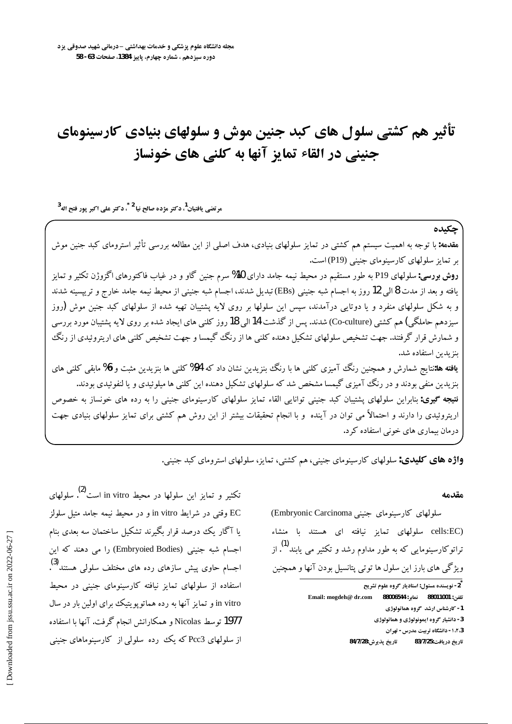# تأثیر هم کشتی سلول های کبد جنین موش و سلولهای بنیادی کارسینومای جنینی در القاء تمایز آنها به کلنی های خونساز

مرتضى يافتيان<sup>1</sup>، دكتر مژده صالح نيا <sup>2 \*</sup>، دكتر على اكبر يور فتح اله<sup>3</sup>

چکىدە هقدهه: با توجه به اهمیت سیستم هم کشتی در تمایز سلولهای بنیادی، هدف اصلی از این مطالعه بررسی تأثیر استرومای کبد جنین موش بر تمایز سلولهای کارسینومای جنینی (P19) است. **روش بورسی**: سلولهای P19 به طور مستقیم در محیط نیمه جامد دارای **10%** سرم جنین گاو و در غیاب فاکتورهای اگزوژن تکثیر و تمایز یافته و بعد از مدت 8 الی 12 روز به اجسام شبه جنینی (EBs) تبدیل شدند، اجسام شبه جنینی از محیط نیمه جامد خارج و تريپسينه شدند و به شکل سلولهای منفرد و یا دوتایی درآمدند، سپس این سلولها بر روی لایه پشتیبان تهیه شده از سلولهای کبد جنین موش (روز سیزدهم حاملگی) هم کشتی (Co-culture) شدند. پس از گذشت 14 الی 18 روز کلنی های ایجاد شده بر روی لایه پشتیبان مورد بررسی و شمارش قرار گرفتند. جهت تشخیص سلولهای تشکیل دهنده کلنی ها از رنگ گیمسا و جهت تشخیص کلنی های اریتروئیدی از رنگ بنزيدين استفاده شد. **یافته ها**:نتایج شمارش و همچنین رنگ آمیزی کلنی ها با رنگ بنزیدین نشان داد که 94% کلنی ها بنزیدین مثبت و 6% مابقی کلنی های بنزیدین منفی بودند و در رنگ آمیزی گیمسا مشخص شد که سلولهای تشکیل دهنده این کلنی ها میلوئیدی و یا لنفوئیدی بودند. **نتیجه گیری**: بنابراین سلولهای پشتیبان کبد جنینی توانایی القاء تمایز سلولهای کارسینومای جنینی را به رده های خونساز به خصوص اریتروئیدی را دارند و احتمالاً می توان در آینده و با انجام تحقیقات بیشتر از این روش هم کشتی برای تمایز سلولهای بنیادی جهت درمان بیماری های خونی استفاده کرد.

**واژه های کلیدی**: سلولهای کارسینومای جنینی، هم کشتی، تمایز، سلولهای استرومای کبد جنینی.

#### مقدمه

سلولهای کارسینومای جنینی Embryonic Carcinoma) cells:EC) سلولهای تمایز نیافته ای هستند با منشاء تراتوکارسینومایی که به طور مداوم رشد و تکثیر می یابند<sup>(1)</sup>. از ویژگی های بارز این سلول ها توتی پتانسیل بودن آنها و همچنین

- ۔<br>2- نویسنده مسئول: استادیار گروه علوم تشریح
- تلفن: 88011001 نماير : Email: mogdeh@ dr.com 88006544
	- 1- کارشناس ارشد گروه هماتولوژی

3- دانشیار گروه ایمونولوژی و هماتولوژی 1،۲،3 - دانشگاه تربیت مدرس - تهران

تارىخ پذيرش:84/7/28 تار يخ در يافت:83/7/25

.<br>تکثیر و تمایز این سلولها در محیط in vitro است<sup>(2)</sup>. سلولهای EC وقتی در شرایط in vitro و در محیط نیمه جامد متیل سلولز یا آگار یک درصد قرار بگیرند تشکیل ساختمان سه بعدی بنام اجسام شبه جنینی (Embryoied Bodies) را می دهند که این اجسام حاوی پیش سازهای رده های مختلف سلولی هستند<sup>(3</sup>). استفاده از سلولهای تمایز نیافته کارسینومای جنینی در محیط in vitro و تمایز آنها به رده هماتوپویتیک برای اولین بار در سال 1977 توسط Nicolas و همکارانش انجام گرفت. آنها با استفاده از سلولهای Pcc3 که یک رده سلولی از کارسینوماهای جنینی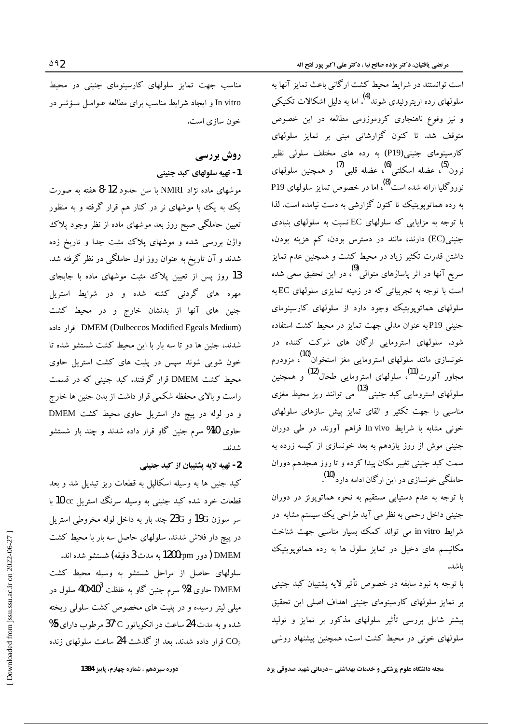است توانستند در شرایط محیط کشت ارگانی باعث تمایز آنها به سلولهای رده اریتروئیدی شوند<sup>(4)</sup>. اما به دلیل اشکالات تکنیکی و نیز وقوع ناهنجاری کروموزومی مطالعه در این خصوص .<br>متوقف شد. تا کنون گزارشاتی مبنی بر تمایز سلولهای کارسینومای جنینی(P19) به رده های مختلف سلول<sub>ی</sub> نظیر نرون<sup>(5)</sup>، عضله اسکلت<sub>ی</sub> <sup>(6)</sup>، عضله قلبی<sup>(7)</sup> و همچنین سلولهای .<br>نوروگلیا ارائه شده است<sup>(8)</sup>، اما در خصوص تمایز سلولهای P19 به رده هماتویویتیک تا کنون گزارشی به دست نیامده است. لذا با توجه به مزایایی که سلولهای ECنسبت به سلولهای بنیادی جنینی(EC) دارند، مانند در دسترس بودن، کم هزینه بودن، داشتن قدرت تكثير زياد در محيط كشت و همچنين عدم تمايز سریع آنها در اثر پاساژهای متوال<sub>ی</sub> <sup>(9</sup>) در این تحقیق سعی شده است با توجه به تجربیاتی که در زمینه تمایزی سلولهای EC به .<br>سلولهای هماتویویتیک وجود دارد از سلولهای کارسینومای جنینی P19به عنوان مدلی جهت تمایز در محیط کشت استفاده .<br>شود. سلولهای استرومایی ارگان های شرکت کننده در خونسازی مانند سلولهای استرومایی مغز استخوان<sup>(10</sup>) مزودرم مجاور آئورت<sup>(11</sup>) سلولهای استرومایی طحال<sup>(12)</sup> و همچنین سلولهای استرومایی کبد جنینی <sup>(13)</sup><br>سلولهای استرومایی کبد جنینی <sup>13</sup> می توانند ریز محیط مغزی مناسبی را جهت تکثیر و القای تمایز پیش سازهای سلولهای خونی مشابه با شرایط In vivo فراهم آورند. در طی دوران جنینی موش از روز یازدهم به بعد خونسازی از کیسه زرده به سمت کبد جنینی تغییر مکان پیدا کرده و تا روز هیجدهم دوران حاملگی خونسازی در این ارگان ادامه دارد <sup>(10</sup>).

با توجه به عدم دستیابی مستقیم به نحوه هماتوپوئز در دوران جنینی داخل رحمی به نظر می آید طراحی یک سیستم مشابه در شرایط in vitro می تواند کمک بسیار مناسبی جهت شناخت مکانیسم های دخیل در تمایز سلول ها به رده هماتوپویتیک ىاشد.

با توجه به نبود سابقه در خصوص تأثیر لایه پشتیبان کبد جنینی بر تمایز سلولهای کارسینومای جنینی اهداف اصلی این تحقیق .<br>بیشتر شامل بررسی تأثیر سلولهای مذکور بر تمایز و تولید سلولهای خونی در محیط کشت است، همچنین پیشنهاد روشی

مناسب جهت تمایز سلولهای کارسینومای جنینی در محیط In vitro و ایجاد شرایط مناسب برای مطالعه عـوامـل مـؤثــر در خون سازي است.

# روش بررسی 1- تهيه سلولهاي كبد جنيني

موشهای ماده نژاد NMRI با سن حدود 12-8 هفته به صورت یک به یک با موشهای نر در کنار هم قرار گرفته و به منظور تعیین حاملگی صبح روز بعد موشهای ماده از نظر وجود پلاک واژن بررسی شده و موشهای پلاک مثبت جدا و تاریخ زده شدند و آن تاریخ به عنوان روز اول حاملگی در نظر گرفته شد. 13 روز پس از تعیین پلاک مثبت موشهای ماده با جابجای .<br>مهره های گردنی کشته شده و در شرایط استریل جنین های آنها از بدنشان خارج و در محیط کشت DMEM (Dulbeccos Modified Egeals Medium) قوار داده شدند، جنین ها دو تا سه بار با این محیط کشت شستشو شده تا .<br>خون شویی شوند سیس در پلیت های کشت استریل حاوی محیط کشت DMEM قرار گرفتند. کبد جنینی که در قسمت راست و بالای محفظه شکمی قرار داشت از بدن جنین ها خارج و در لوله در پیچ دار استریل حاوی محیط کشت DMEM ۔<br>حاوی 10% سرم جنین گاو قرار داده شدند و چند بار شستشو .<br>شدند.

### 2- تهيه لايه پشتيبان از كبد جنيني

کبد جنین ها به وسیله اسکالپل به قطعات ریز تبدیل شد و بعد قطعات خرد شده کبد جنینی به وسیله سرنگ استریل cc یا 10 با سر سوزن 19G و 23G چند بار به داخل لوله مخروطی استریل در پیچ دار فلاش شدند. سلولهای حاصل سه بار با محیط کشت DMEM (دور 1200rpm به مدت 3 دقيقه) شستشو شده اند. .<br>سلولهای حاصل از مراحل شستشو به وسیله محیط کشت

DMEM حاوی 2% سرم جنین گاو به غلظت 10<sup>3</sup>×40 سلول در .<br>میلی لیتر رسیده و در پلیت های مخصوص کشت سلولی ریخته شده و به مدت 24 ساعت در انکوباتور  $\rm{37^{\circ}C}$  مرطوب دارای 5% قرار داده شدند. بعد از گذشت 24 ساعت سلولهای زنده  $\rm CO_2$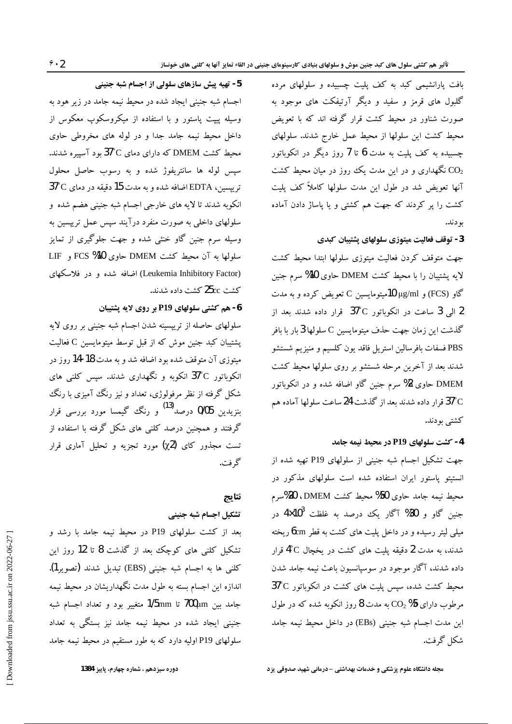.<br>بافت پارانشیمی کبد به کف پلیت چسبیده و سلولهای مرده گلبول های قرمز و سفید و دیگر آرتیفکت های موجود به صورت شناور در محیط کشت قرار گرفته اند که با تعویض محیط کشت این سلولها از محیط عمل خارج شدند. سلولهای چسبیده به کف پلیت به مدت 6 تا 7 روز دیگر در انکوباتور نگهداری و در این مدت یک روز در میان محیط کشت  $\rm CO_2$ آنها تعویض شد در طول این مدت سلولها کاملاً کف پلیت کشت را بر کردند که جهت هم کشتی و یا یاساژ دادن آماده بو دند.

3- توقف فعالیت میتوزی سلولهای پشتیبان کبدی

جهت متوقف كردن فعاليت ميتوزى سلولها ابتدا محيط كشت لايه پشتيبان را با محيط كشت DMEM حاوى 10% سرم جنين گاو (FCS) و μg/ml 10میتومایسین C تعویض کرده و به مدت الی 3 ساعت در انکوباتور  $37^{\circ}$ 3 قرار داده شدند بعد از  $3$ گذشت این زمان جهت حذف میتومایسین C سلولها 3 بار با بافر .<br>PBS فسفات بافرسالين استريل فاقد يون كلسيم و منيزيم شستشو شدند بعد از آخرین مرحله شستشو بر روی سلولها محیط کشت DMEM حاوی 2% سرم جنین گاو اضافه شده و در انکوباتور ج 37°C قرار داده شدند بعد از گذشت 24 ساعت سلولها آماده هم كشتى بودند.

## 4- كشت سلولهاي P19 در محيط نيمه جامد

جهت تشکیل اجسام شبه جنینی از سلولهای P19 تهیه شده از انستیتو یاستور ایران استفاده شده است سلولهای مذکور در محیط نیمه جامد حاوی 50% محیط کشت DMEM ، 20%سرم جنین گاو و 30% آگار یک درصد به غلظت 4×10 در مبلی لبتر رسیده و در داخل پلبت های کشت به قطر  $6$ cm ریخته شدند، به مدت 2 دقیقه پلیت های کشت در یخچال <sup>4°</sup>C قرار داده شدند، آگار موجود در سوسیانسیون باعث نیمه جامد شدن 37°C محیط کشت شده، سپس پلیت های کشت در انکوباتور مرطوب دارای 5% CO2 به مدت 8 روز انکوبه شده که در طول این مدت اجسام شبه جنینی (EBs) در داخل محیط نیمه جامد شكل گرفت.

5- تهیه پیش سازهای سلولی از اجسام شبه جنینی اجسام شبه جنینی ایجاد شده در محیط نیمه جامد در زیر هود به وسیله پیپت پاستور و با استفاده از میکروسکوپ معکوس از داخل محیط نیمه جامد جدا و در لوله های مخروطی حاوی محیط کشت DMEM که دارای دمای  $^{\circ}$ 37 بود آسیبره شدند. سیس لوله ها سانتریفوژ شده و به رسوب حاصل محلول تربيسين، EDTA اضافه شده و به مدت 15 دقيقه در دماي 37°3 انکوبه شدند تا لایه های خارجی اجسام شبه جنینی هضم شده و سلولهای داخلی به صورت منفرد در آیند سپس عمل ترییسین به وسیله سرم جنین گاو خنثی شده و جهت جلوگیری از تمایز سلولها به آن محیط کشت DMEM حاوی FCS \$10 و LIF (Leukemia Inhibitory Factor) اضافه شده و در فلاسکهای كشت **25**cc كشت داده شدند.

#### 6- هم کشتی سلولهای P19 بر روی لایه پشتیبان

سلولهای حاصله از ترییسینه شدن اجسام شبه جنینی بر روی لایه پشتیبان کبد جنین موش که از قبل توسط میتومایسین C فعالیت میتوزی آن متوقف شده بود اضافه شد و به مدت 18-14 روز در انکوپاتور 37°3 انکوپه و نگهداری شدند. سپس کلنی های شکل گرفته از نظر مرفولوژی، تعداد و نیز رنگ آمیزی با رنگ بنزیدین 0/05 درصد<sup>(13)</sup> و رنگ<sup>ی</sup> گیمسا مورد بررسی قرار گرفتند و همچنین درصد کلن<sub>ی</sub> های شکل گرفته با استفاده از تست مجذور کای 2(χ) مورد تجزیه و تحلیل آماری قرار گر فت.

#### نتايج

#### تشكيل اجسام شبه جنيني

بعد از کشت سلولهای P19 در محبط نبمه جامد با رشد و تشکیل کلنی های کوچک بعد از گذشت 8 تا 12 روز این كلني ها به اجسام شبه جنيني (EBS) تبديل شدند (تصوير1). اندازه این اجسام بسته به طول مدت نگهداریشان در محیط نیمه جامد بین 700µm تا 1/5mm متغییر بود و تعداد اجسام شبه جنینی ایجاد شده در محیط نیمه جامد نیز بستگی به تعداد سلولهای P19 اولیه دارد که به طور مستقیم در محیط نیمه جامد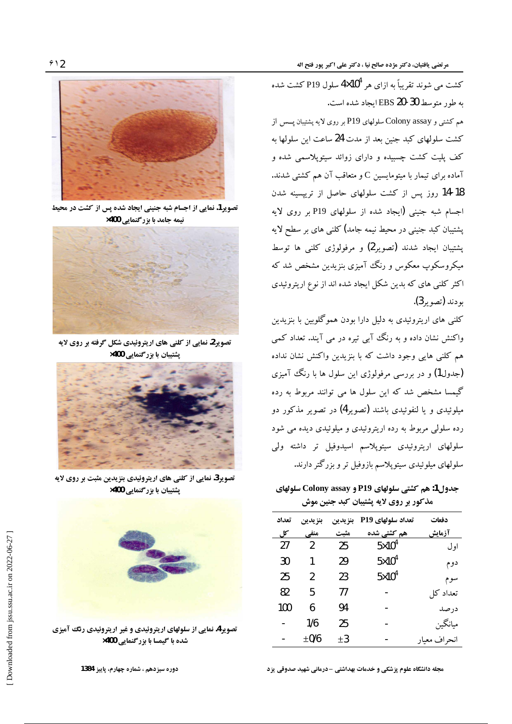کشت می شوند تقریباً به ازای هر 10<sup>4×4</sup> سلول P19 کشت شده به طور متوسط EBS 20-30 ايجاد شده است. هم کشتی و Colony assay سلولهای P19 بر روی لایه پشتیبان پسس از كشت سلولهاي كبد جنين بعد از مدت 24 ساعت اين سلولها به کف پلیت کشت چسبیده و دارای زوائد سیتوپلاسمی شده و آماده برای تیمار با میتومایسین C و متعاقب آن هم کشت<sub>م</sub> شدند. 18-14 روز پس از کشت سلولهای حاصل از ترییسینه شدن اجسام شبه جنینی (ایجاد شده از سلولهای P19 بر روی لایه پشتیبان کبد جنینی در محیط نیمه جامد) کلنی های بر سطح لایه یشتیبان ایجاد شدند (تصویر2) و مرفولوژی کلنی ها توسط میکروسکوپ معکوس و رنگ آمیزی بنزیدین مشخص شد که اکثر کلنی های که بدین شکل ایجاد شده اند از نوع اریتروئیدی بودند (تصوير 3).

کلنې های اریتروئیدې به دلیل دارا بودن هموگلوبین با بنزیدین واکنش نشان داده و به رنگ آبی تیره در می آیند. تعداد کمی هم کلنی هایی وجود داشت که با بنزیدین واکنش نشان نداده (جدول1) و در بررسی مرفولوژی این سلول ها با رنگ آمیزی گیمسا مشخص شد که این سلول ها می توانند مربوط به رده میلوئیدی و یا لنفوئیدی باشند (تصویر4) در تصویر مذکور دو رده سلولي مربوط به رده اريتروئيدي و ميلوئيدي ديده مي شود سلولهای اریتروئیدی سیتوپلاسم اسیدوفیل تر داشته ولی سلولهای میلوئیدی سیتوپلاسم بازوفیل تر و بزرگتر دارند.

جدول1: هم كشتي سلولهاي P19 و Colony assay سلولهاي مذکور بر روی لایه پشتیبان کبد جنین موش

| تعداد | بنزيدين   | بنزيدين | تعداد سلولهای P19       | دفعات        |
|-------|-----------|---------|-------------------------|--------------|
| کل    | منفي      | مثبت    | هم کشت <sub>ی</sub> شده | آزمایش       |
| 27    | 2         | 25      | $5 \times 10^4$         | اول          |
| 30    | 1         | 29      | $5 \times 10^4$         | دوم          |
| 25    | 2         | 23      | $5\times10^4$           | سوم          |
| 82    | 5         | 77      |                         | تعداد کا ٖ   |
| 100   | 6         | 94      |                         | در صد        |
|       | 1/6       | 25      |                         | مبانگين      |
|       | $\pm 0/6$ | $\pm 3$ |                         | انحراف معيار |

.<br>مجله دانشگاه علوم پزشکی و خدمات بهداشتی -درمانی شهید صدوقی یزد



تصویر 1. نمایی از اجسام شبه جنینی ایجاد شده پس از کشت در محیط نیمه جامد با بزرگنمایی 400×



تصویر2. نمایی از کلنی های اریتروئیدی شکل گرفته بر روی لایه یشتیبان با بزرگنمایی 400×



تصویر 3. نمایی از کلنی های اریتروئیدی بنزیدین مثبت بر روی لایه پشتیبان با بزرگنمایی 400×



تصویر 4. نمایی از سلولهای اریتروئیدی و غیر اریتروئیدی رنگ آمیزی شدہ با گیمسا با بزرگنمایی 400×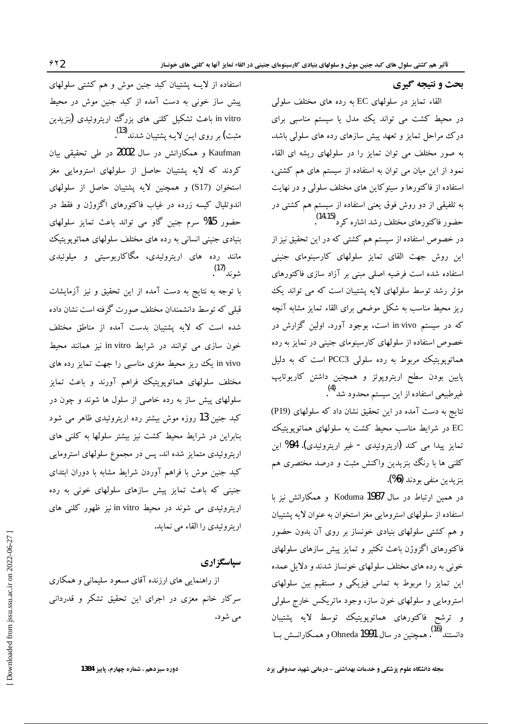بحث و نتیجه گیری

القاء تمایز در سلولهای EC به رده های مختلف سلولی در محیط کشت می تواند یک مدل یا سیستم مناسبی برای درک مراحل تمایز و تعهد پیش سازهای رده های سلولی باشد. به صور مختلف می توان تمایز را در سلولهای ریشه ای القاء نمود از این میان می توان به استفاده از سیستم های هم کشتی، استفاده از فاکتورها و سیتوکاین های مختلف سلولی و در نهایت به تلفیقی از دو روش فوق یعنی استفاده از سیستم هم کشتی در (14.15)<br>حضور فاکتورهای مختلف رشد اشاره کرد ``

در خصوص استفاده از سیستم هم کشتی که در این تحقیق نیز از این روش جهت القای تمایز سلولهای کارسینومای جنینی استفاده شده است فرضیه اصلی مبنی بر آزاد سازی فاکتورهای مؤثر رشد توسط سلولهای لایه پشتیبان است که می تواند یک ریز محیط مناسب به شکل موضعی برای القاء تمایز مشابه آنچه که در سیستم in vivo است، بوجود آورد. اولین گزارش در خصوص استفاده از سلولهای کارسینومای جنینی در تمایز به رده هماتوپویتیک مربوط به رده سلولی PCC3 است که به دلیل .<br>پایین بودن سطح اریترویوئز و همچنین داشتن کاریوتایپ غیرطبیعی استفاده از این سیستم محدود شد<sup>(4)</sup>.

نتایج به دست آمده در این تحقیق نشان داد که سلولهای (P19) EC در شرایط مناسب محبط کشت به سلولهای هماتویویتبک تمایز پیدا می کند (اریتروئیدی - غیر اریتروئیدی). 94% این کلنی ها با رنگ بنزیدین واکنش مثبت و درصد مختصری هم بنزيدين منفي بودند (6%).

در همین ارتباط در سال Koduma **1987** و همکارانش نیز با استفاده از سلولهای استرومایی مغز استخوان به عنوان لایه پشتیبان و هم کشتی سلولهای بنبادی خونساز بر روی آن بدون حضور فاکتورهای اگزوژن باعث تکثیر و تمایز پیش سازهای سلولهای خونی به رده های مختلف سلولهای خونساز شدند و دلایل عمده این تمایز را مربوط به تماس فیزیکی و مستقیم بین سلولهای استرومایی و سلولهای خون ساز، وجود ماتریکس خارج سلولی و ترشح فاكتورهاى هماتويويتيك توسط لايه يشتيبان دانستند<sup>(16)</sup>. همچنین در سال Ohneda **1991** و همکارانــش بــا

استفاده از لایــه پشتیبان کبد جنین موش و هم کشتی سلولهای پیش ساز خونی به دست آمده از کبد جنین موش در محیط in vitro باعث تشکیل کلنی های بزرگ ااریتروئیدی (بنزیدین مثبت) بر روی ایـن لایـه پشتیبان شدند<sup>(13</sup>).

Kaufman و همکارانش در سال 2002 در طی تحقیقی بیان کردند که لایه پشتیبان حاصل از سلولهای استرومایی مغز استخوان (S17) و همچنین لایه پشتیبان حاصل از سلولهای اندوتلیال کیسه زرده در غیاب فاکتورهای اگزوژن و فقط در حضور 15% سرم جنین گاو می تواند باعث تمایز سلولهای بنیادی جنینی انسانی به رده های مختلف سلولهای هماتوپویتیک مانند رده های اریتروئیدی، مگاکاریوسیتی و میلوئیدی شو ند <sup>(17</sup>) .

با توجه به نتایج به دست آمده از این تحقیق و نیز آزمایشات قبلی که توسط دانشمندان مختلف صورت گرفته است نشان داده .<br>شده است که لایه پشتیبان بدست آمده از مناطق مختلف خون سازی می توانند در شرایط in vitro نیز همانند محیط in vivo یک ریز محیط مغزی مناسبی را جهت تمایز رده های مختلف سلولهای هماتوپویتیک فراهم آورند و باعث تمایز سلولهای پیش ساز به رده خاصی از سلول ها شوند و چون در کبد جنین 13 روزه موش بیشتر رده اریتروئیدی ظاهر می شود بنابراین در شرایط محیط کشت نیز بیشتر سلولها به کلنی های اریتروئیدی متمایز شده اند. پس در مجموع سلولهای استرومایی کبد جنین موش با فراهم آوردن شرایط مشابه با دوران ابتدای جنینی که باعث تمایز پیش سازهای سلولهای خونی به رده اریتروئیدی می شوند در محیط in vitro نیز ظهور کلنی های اریتروئیدی را القاء می نماید.

# سیاسگز اری

از راهنمایی های ارزنده آقای مسعود سلیمانی و همکاری سرکار خانم معزی در اجرای این تحقیق تشکر و قدردانی مے شود.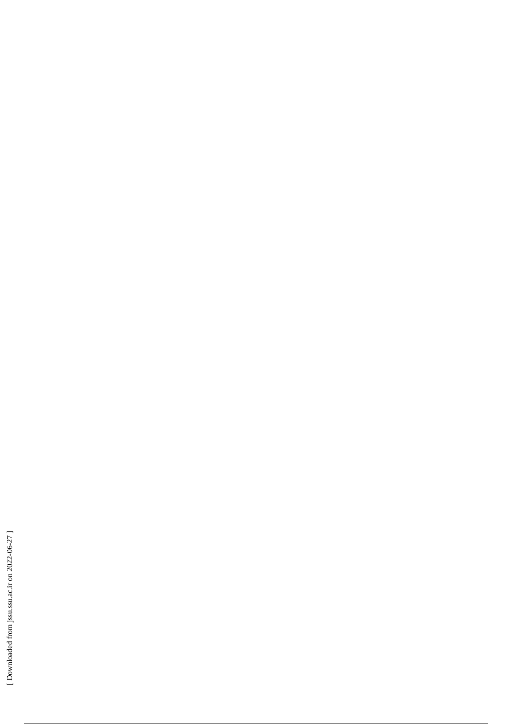[Downloaded from jssu.ssu.ac.ir on 2022-06-27]  [\[ Downloaded from jssu.ssu.ac.ir on 2022-](http://jssu.ssu.ac.ir/article-1-703-en.html)06-27 ]